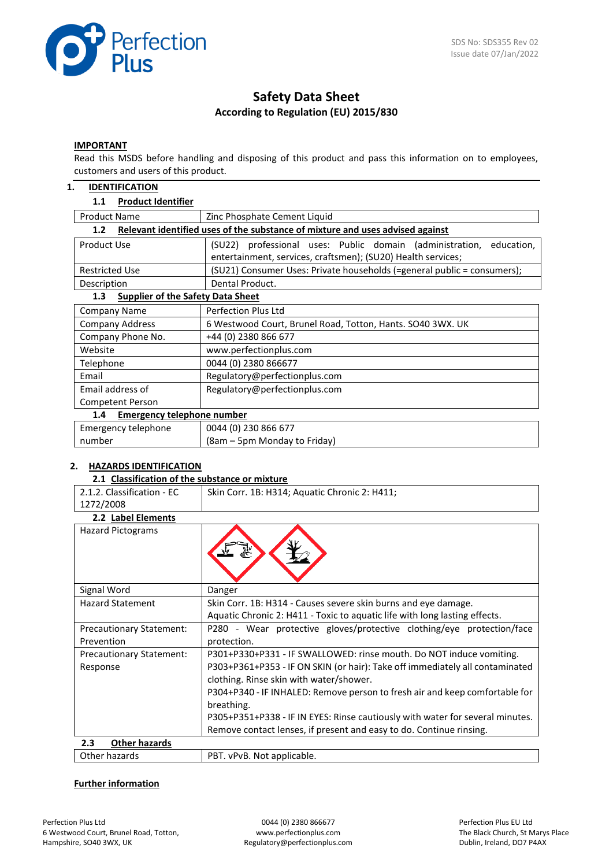

# **Safety Data Sheet According to Regulation (EU) 2015/830**

## **IMPORTANT**

Read this MSDS before handling and disposing of this product and pass this information on to employees, customers and users of this product.

### **1. IDENTIFICATION**

## **1.1 Product Identifier**

| <b>Product Name</b><br>Zinc Phosphate Cement Liquid                                  |                                                                         |  |  |  |  |  |
|--------------------------------------------------------------------------------------|-------------------------------------------------------------------------|--|--|--|--|--|
| Relevant identified uses of the substance of mixture and uses advised against<br>1.2 |                                                                         |  |  |  |  |  |
| Product Use                                                                          | (SU22) professional uses: Public domain (administration,<br>education,  |  |  |  |  |  |
|                                                                                      | entertainment, services, craftsmen); (SU20) Health services;            |  |  |  |  |  |
| <b>Restricted Use</b>                                                                | (SU21) Consumer Uses: Private households (=general public = consumers); |  |  |  |  |  |
| Description                                                                          | Dental Product.                                                         |  |  |  |  |  |
| <b>Supplier of the Safety Data Sheet</b><br>1.3                                      |                                                                         |  |  |  |  |  |
| <b>Company Name</b>                                                                  | <b>Perfection Plus Ltd</b>                                              |  |  |  |  |  |
| Company Address                                                                      | 6 Westwood Court, Brunel Road, Totton, Hants. SO40 3WX. UK              |  |  |  |  |  |
| Company Phone No.                                                                    | +44 (0) 2380 866 677                                                    |  |  |  |  |  |
| Website                                                                              | www.perfectionplus.com                                                  |  |  |  |  |  |
| Telephone                                                                            | 0044 (0) 2380 866677                                                    |  |  |  |  |  |
| Email                                                                                | Regulatory@perfectionplus.com                                           |  |  |  |  |  |
| Email address of                                                                     | Regulatory@perfectionplus.com                                           |  |  |  |  |  |
| Competent Person                                                                     |                                                                         |  |  |  |  |  |
| <b>Emergency telephone number</b><br>1.4                                             |                                                                         |  |  |  |  |  |
| Emergency telephone                                                                  | 0044 (0) 230 866 677                                                    |  |  |  |  |  |
| number                                                                               | (8am – 5pm Monday to Friday)                                            |  |  |  |  |  |

# **2. HAZARDS IDENTIFICATION**

### **2.1 Classification of the substance or mixture**

| 2.1.2. Classification - EC      | Skin Corr. 1B: H314; Aquatic Chronic 2: H411;                                 |  |  |
|---------------------------------|-------------------------------------------------------------------------------|--|--|
| 1272/2008                       |                                                                               |  |  |
| 2.2 Label Elements              |                                                                               |  |  |
| <b>Hazard Pictograms</b>        |                                                                               |  |  |
| Signal Word                     | Danger                                                                        |  |  |
| <b>Hazard Statement</b>         | Skin Corr. 1B: H314 - Causes severe skin burns and eye damage.                |  |  |
|                                 | Aquatic Chronic 2: H411 - Toxic to aquatic life with long lasting effects.    |  |  |
| <b>Precautionary Statement:</b> | P280 - Wear protective gloves/protective clothing/eye protection/face         |  |  |
| Prevention                      | protection.                                                                   |  |  |
| <b>Precautionary Statement:</b> | P301+P330+P331 - IF SWALLOWED: rinse mouth. Do NOT induce vomiting.           |  |  |
| Response                        | P303+P361+P353 - IF ON SKIN (or hair): Take off immediately all contaminated  |  |  |
|                                 | clothing. Rinse skin with water/shower.                                       |  |  |
|                                 | P304+P340 - IF INHALED: Remove person to fresh air and keep comfortable for   |  |  |
|                                 | breathing.                                                                    |  |  |
|                                 | P305+P351+P338 - IF IN EYES: Rinse cautiously with water for several minutes. |  |  |
|                                 | Remove contact lenses, if present and easy to do. Continue rinsing.           |  |  |
| 2.3<br><b>Other hazards</b>     |                                                                               |  |  |
| Other hazards                   | PBT. vPvB. Not applicable.                                                    |  |  |

# **Further information**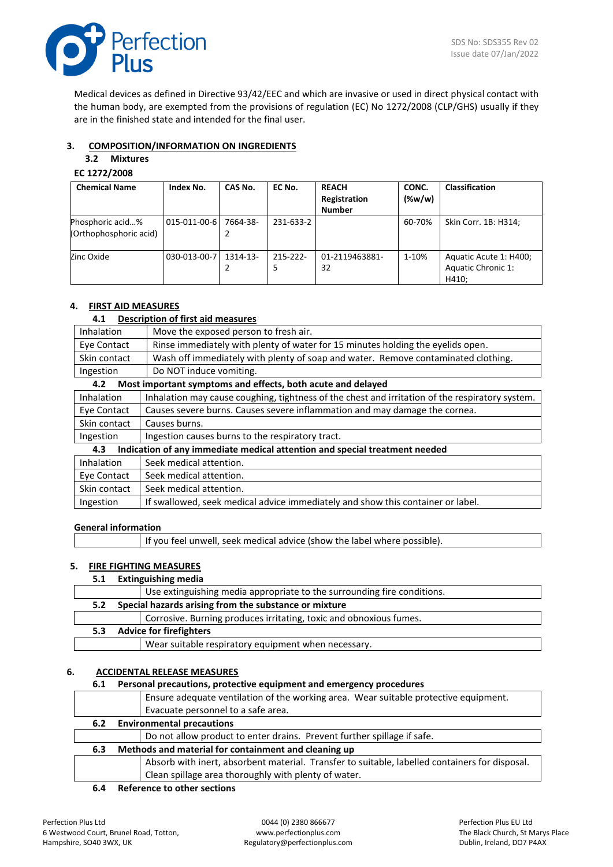

Medical devices as defined in Directive 93/42/EEC and which are invasive or used in direct physical contact with the human body, are exempted from the provisions of regulation (EC) No 1272/2008 (CLP/GHS) usually if they are in the finished state and intended for the final user.

# **3. COMPOSITION/INFORMATION ON INGREDIENTS**

# **3.2 Mixtures**

# **EC 1272/2008**

| <b>Chemical Name</b>                       | Index No.    | CAS No.  | EC No.             | <b>REACH</b><br>Registration<br><b>Number</b> | CONC.<br>$(\%w/w)$ | <b>Classification</b>                                 |
|--------------------------------------------|--------------|----------|--------------------|-----------------------------------------------|--------------------|-------------------------------------------------------|
| Phosphoric acid%<br>(Orthophosphoric acid) | 015-011-00-6 | 7664-38- | 231-633-2          |                                               | 60-70%             | Skin Corr. 1B: H314;                                  |
| Zinc Oxide                                 | 030-013-00-7 | 1314-13- | $215 - 222 -$<br>5 | 01-2119463881-<br>32                          | 1-10%              | Aquatic Acute 1: H400;<br>Aquatic Chronic 1:<br>H410: |

# **4. FIRST AID MEASURES**

# **4.1 Description of first aid measures**

| ⊶.⊥          | <b>PESCRIPTION OF THISE AIGHTER SUITES</b>                                                      |
|--------------|-------------------------------------------------------------------------------------------------|
| Inhalation   | Move the exposed person to fresh air.                                                           |
| Eye Contact  | Rinse immediately with plenty of water for 15 minutes holding the eyelids open.                 |
| Skin contact | Wash off immediately with plenty of soap and water. Remove contaminated clothing.               |
| Ingestion    | Do NOT induce vomiting.                                                                         |
| 4.2          | Most important symptoms and effects, both acute and delayed                                     |
| Inhalation   | Inhalation may cause coughing, tightness of the chest and irritation of the respiratory system. |
| Eye Contact  | Causes severe burns. Causes severe inflammation and may damage the cornea.                      |
| Skin contact | Causes burns.                                                                                   |
| Ingestion    | Ingestion causes burns to the respiratory tract.                                                |
| 4.3          | Indication of any immediate medical attention and special treatment needed                      |
| Inhalation   | Seek medical attention.                                                                         |
| Eye Contact  | Seek medical attention.                                                                         |
| Skin contact | Seek medical attention.                                                                         |
| Ingestion    | If swallowed, seek medical advice immediately and show this container or label.                 |

## **General information**

|  | If you feel unwell, seek medical advice (show the label where possible). |
|--|--------------------------------------------------------------------------|
|--|--------------------------------------------------------------------------|

# **5. FIRE FIGHTING MEASURES**

# **5.1 Extinguishing media**

|     | Use extinguishing media appropriate to the surrounding fire conditions. |
|-----|-------------------------------------------------------------------------|
| 5.2 | Special hazards arising from the substance or mixture                   |
|     | Corrosive. Burning produces irritating, toxic and obnoxious fumes.      |
| 5.3 | <b>Advice for firefighters</b>                                          |
|     | Wear suitable respiratory equipment when necessary.                     |
|     |                                                                         |

# **6. ACCIDENTAL RELEASE MEASURES**

# **6.1 Personal precautions, protective equipment and emergency procedures**

|     | Ensure adequate ventilation of the working area. Wear suitable protective equipment.           |
|-----|------------------------------------------------------------------------------------------------|
|     | Evacuate personnel to a safe area.                                                             |
| 6.2 | <b>Environmental precautions</b>                                                               |
|     | Do not allow product to enter drains. Prevent further spillage if safe.                        |
| 6.3 | Methods and material for containment and cleaning up                                           |
|     | Absorb with inert, absorbent material. Transfer to suitable, labelled containers for disposal. |
|     | Clean spillage area thoroughly with plenty of water.                                           |
|     |                                                                                                |

**6.4 Reference to other sections**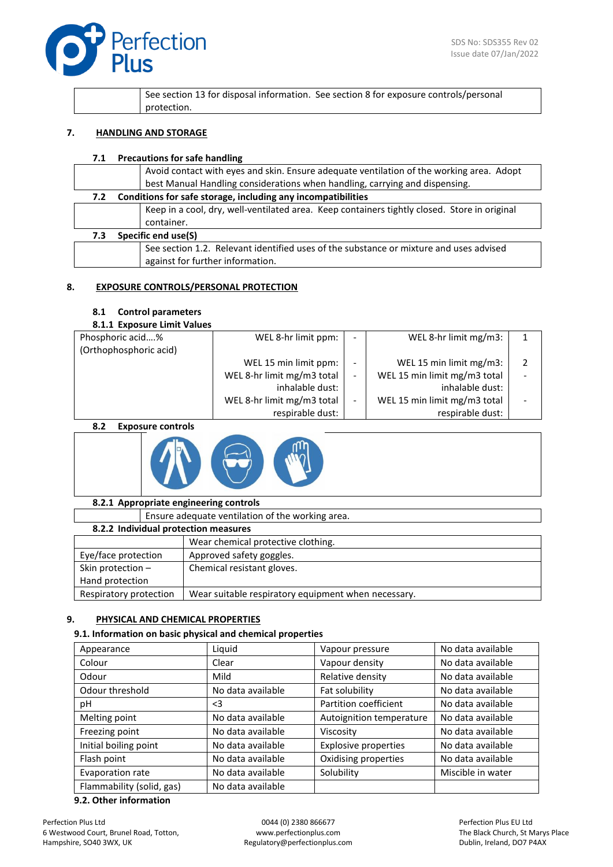

|  |             | See section 13 for disposal information. See section 8 for exposure controls/personal |
|--|-------------|---------------------------------------------------------------------------------------|
|  | protection. |                                                                                       |

### **7. HANDLING AND STORAGE**

### **7.1 Precautions for safe handling**

|     | Avoid contact with eyes and skin. Ensure adequate ventilation of the working area. Adopt     |
|-----|----------------------------------------------------------------------------------------------|
|     | best Manual Handling considerations when handling, carrying and dispensing.                  |
| 7.2 | Conditions for safe storage, including any incompatibilities                                 |
|     | Keep in a cool, dry, well-ventilated area. Keep containers tightly closed. Store in original |
|     | container.                                                                                   |
| 7.3 | Specific end use(S)                                                                          |
|     | See section 1.2. Relevant identified uses of the substance or mixture and uses advised       |
|     | against for further information.                                                             |
|     |                                                                                              |

# **8. EXPOSURE CONTROLS/PERSONAL PROTECTION**

## **8.1 Control parameters**

## **8.1.1 Exposure Limit Values**

| Phosphoric acid%       | WEL 8-hr limit ppm:        | ٠ | WEL 8-hr limit mg/m3:        |  |
|------------------------|----------------------------|---|------------------------------|--|
| (Orthophosphoric acid) |                            |   |                              |  |
|                        | WEL 15 min limit ppm:      |   | WEL 15 min limit mg/m3:      |  |
|                        | WEL 8-hr limit mg/m3 total | - | WEL 15 min limit mg/m3 total |  |
|                        | inhalable dust:            |   | inhalable dust:              |  |
|                        | WEL 8-hr limit mg/m3 total | - | WEL 15 min limit mg/m3 total |  |
|                        | respirable dust:           |   | respirable dust:             |  |

#### **8.2 Exposure controls**



## **8.2.1 Appropriate engineering controls**

Ensure adequate ventilation of the working area.

| 8.2.2 Individual protection measures |                                                     |  |  |  |
|--------------------------------------|-----------------------------------------------------|--|--|--|
|                                      | Wear chemical protective clothing.                  |  |  |  |
| Eye/face protection                  | Approved safety goggles.                            |  |  |  |
| Skin protection $-$                  | Chemical resistant gloves.                          |  |  |  |
| Hand protection                      |                                                     |  |  |  |
| Respiratory protection               | Wear suitable respiratory equipment when necessary. |  |  |  |

## **9. PHYSICAL AND CHEMICAL PROPERTIES**

## **9.1. Information on basic physical and chemical properties**

| Appearance                | Liquid            | Vapour pressure             | No data available |
|---------------------------|-------------------|-----------------------------|-------------------|
| Colour                    | Clear             | Vapour density              | No data available |
| Odour                     | Mild              | Relative density            | No data available |
| Odour threshold           | No data available | Fat solubility              | No data available |
| рH                        | $<$ 3             | Partition coefficient       | No data available |
| Melting point             | No data available | Autoignition temperature    | No data available |
| Freezing point            | No data available | Viscosity                   | No data available |
| Initial boiling point     | No data available | <b>Explosive properties</b> | No data available |
| Flash point               | No data available | Oxidising properties        | No data available |
| Evaporation rate          | No data available | Solubility                  | Miscible in water |
| Flammability (solid, gas) | No data available |                             |                   |

#### **9.2. Other information**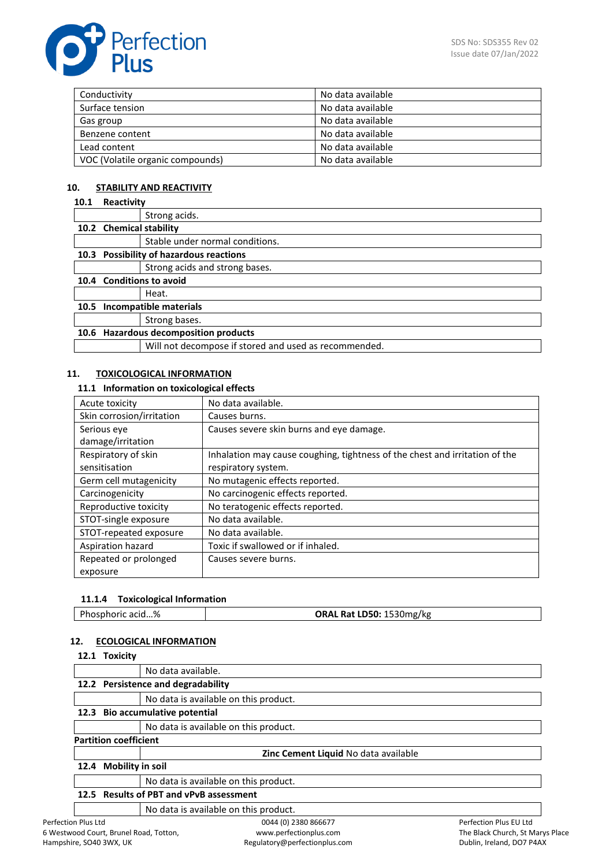

| Conductivity                     | No data available |
|----------------------------------|-------------------|
| Surface tension                  | No data available |
| Gas group                        | No data available |
| Benzene content                  | No data available |
| Lead content                     | No data available |
| VOC (Volatile organic compounds) | No data available |

# **10. STABILITY AND REACTIVITY**

## **10.1 Reactivity**

|      |                               | Strong acids.                                         |
|------|-------------------------------|-------------------------------------------------------|
|      |                               | 10.2 Chemical stability                               |
|      |                               | Stable under normal conditions.                       |
|      |                               | 10.3 Possibility of hazardous reactions               |
|      |                               | Strong acids and strong bases.                        |
|      |                               | 10.4 Conditions to avoid                              |
|      |                               | Heat.                                                 |
| 10.5 | <b>Incompatible materials</b> |                                                       |
|      |                               | Strong bases.                                         |
|      |                               | 10.6 Hazardous decomposition products                 |
|      |                               | Will not decompose if stored and used as recommended. |

## **11. TOXICOLOGICAL INFORMATION**

## **11.1 Information on toxicological effects**

| Acute toxicity            | No data available.                                                          |
|---------------------------|-----------------------------------------------------------------------------|
| Skin corrosion/irritation | Causes burns.                                                               |
| Serious eye               | Causes severe skin burns and eye damage.                                    |
| damage/irritation         |                                                                             |
| Respiratory of skin       | Inhalation may cause coughing, tightness of the chest and irritation of the |
| sensitisation             | respiratory system.                                                         |
| Germ cell mutagenicity    | No mutagenic effects reported.                                              |
| Carcinogenicity           | No carcinogenic effects reported.                                           |
| Reproductive toxicity     | No teratogenic effects reported.                                            |
| STOT-single exposure      | No data available.                                                          |
| STOT-repeated exposure    | No data available.                                                          |
| Aspiration hazard         | Toxic if swallowed or if inhaled.                                           |
| Repeated or prolonged     | Causes severe burns.                                                        |
| exposure                  |                                                                             |

## **11.1.4 Toxicological Information**

| ORAL Rat LD50: 1530mg/kg | Phosphoric acid% |
|--------------------------|------------------|
|--------------------------|------------------|

## **12. ECOLOGICAL INFORMATION**

|               | 12.1 Toxicity                      |                                         |                                             |                              |
|---------------|------------------------------------|-----------------------------------------|---------------------------------------------|------------------------------|
|               |                                    | No data available.                      |                                             |                              |
|               | 12.2 Persistence and degradability |                                         |                                             |                              |
|               |                                    | No data is available on this product.   |                                             |                              |
| 12.3          |                                    | <b>Bio accumulative potential</b>       |                                             |                              |
|               |                                    | No data is available on this product.   |                                             |                              |
|               | <b>Partition coefficient</b>       |                                         |                                             |                              |
|               |                                    |                                         | <b>Zinc Cement Liquid No data available</b> |                              |
| 12.4          | <b>Mobility in soil</b>            |                                         |                                             |                              |
|               |                                    | No data is available on this product.   |                                             |                              |
|               |                                    | 12.5 Results of PBT and vPvB assessment |                                             |                              |
|               |                                    | No data is available on this product.   |                                             |                              |
| an Dhic I td. |                                    |                                         | $OMA$ (0) 2280 866677                       | <b>Dorfoction Duc ELLItd</b> |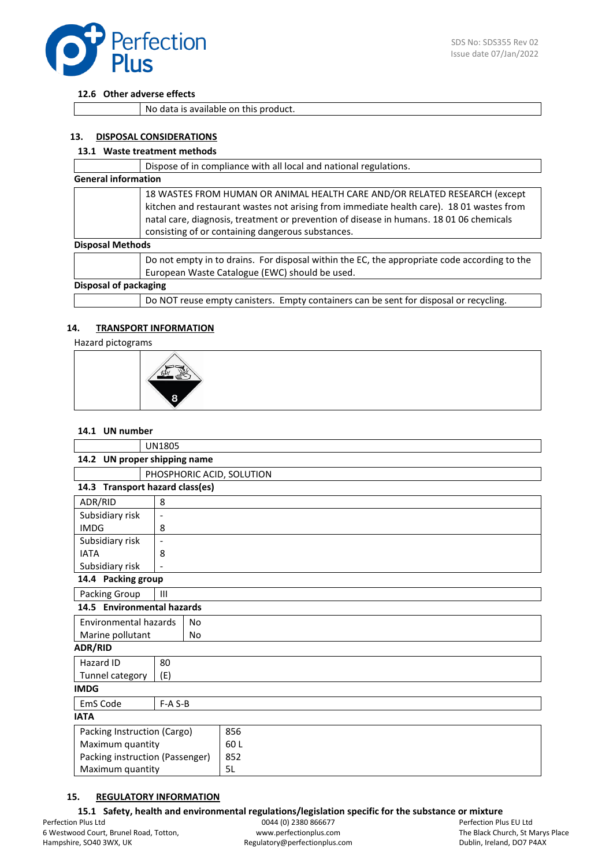

## **12.6 Other adverse effects**

No data is available on this product.

## **13. DISPOSAL CONSIDERATIONS**

## **13.1 Waste treatment methods**

|                         | Dispose of in compliance with all local and national regulations.                                                                                                                                                                                                                                                      |  |
|-------------------------|------------------------------------------------------------------------------------------------------------------------------------------------------------------------------------------------------------------------------------------------------------------------------------------------------------------------|--|
|                         | <b>General information</b>                                                                                                                                                                                                                                                                                             |  |
|                         | 18 WASTES FROM HUMAN OR ANIMAL HEALTH CARE AND/OR RELATED RESEARCH (except<br>kitchen and restaurant wastes not arising from immediate health care). 18 01 wastes from<br>natal care, diagnosis, treatment or prevention of disease in humans. 18 01 06 chemicals<br>consisting of or containing dangerous substances. |  |
| <b>Disposal Methods</b> |                                                                                                                                                                                                                                                                                                                        |  |
|                         | Do not empty in to drains. For disposal within the EC, the appropriate code according to the<br>European Waste Catalogue (EWC) should be used.                                                                                                                                                                         |  |
|                         | Disposal of packaging                                                                                                                                                                                                                                                                                                  |  |
|                         | Do NOT reuse empty canisters. Empty containers can be sent for disposal or recycling.                                                                                                                                                                                                                                  |  |

## **14. TRANSPORT INFORMATION**

Hazard pictograms



#### **14.1 UN number**

| <b>UN1805</b>                               |                          |     |  |
|---------------------------------------------|--------------------------|-----|--|
| 14.2 UN proper shipping name                |                          |     |  |
| PHOSPHORIC ACID, SOLUTION                   |                          |     |  |
| 14.3 Transport hazard class(es)             |                          |     |  |
| ADR/RID                                     | 8                        |     |  |
| Subsidiary risk<br>$\overline{\phantom{a}}$ |                          |     |  |
| <b>IMDG</b>                                 | 8                        |     |  |
| Subsidiary risk                             | $\overline{\phantom{a}}$ |     |  |
| <b>IATA</b>                                 | 8                        |     |  |
| Subsidiary risk                             |                          |     |  |
| 14.4 Packing group                          |                          |     |  |
| Packing Group<br>$\mathbf{III}$             |                          |     |  |
| 14.5 Environmental hazards                  |                          |     |  |
| <b>Environmental hazards</b>                | No                       |     |  |
| Marine pollutant                            | No                       |     |  |
| <b>ADR/RID</b>                              |                          |     |  |
| Hazard ID                                   | 80                       |     |  |
| Tunnel category                             | (E)                      |     |  |
| <b>IMDG</b>                                 |                          |     |  |
| EmS Code                                    | $F-A S-B$                |     |  |
| <b>IATA</b>                                 |                          |     |  |
| Packing Instruction (Cargo)                 |                          | 856 |  |
| Maximum quantity                            |                          | 60L |  |
| Packing instruction (Passenger)             |                          | 852 |  |
| Maximum quantity                            |                          | 5L  |  |

# **15. REGULATORY INFORMATION**

**15.1 Safety, health and environmental regulations/legislation specific for the substance or mixture**